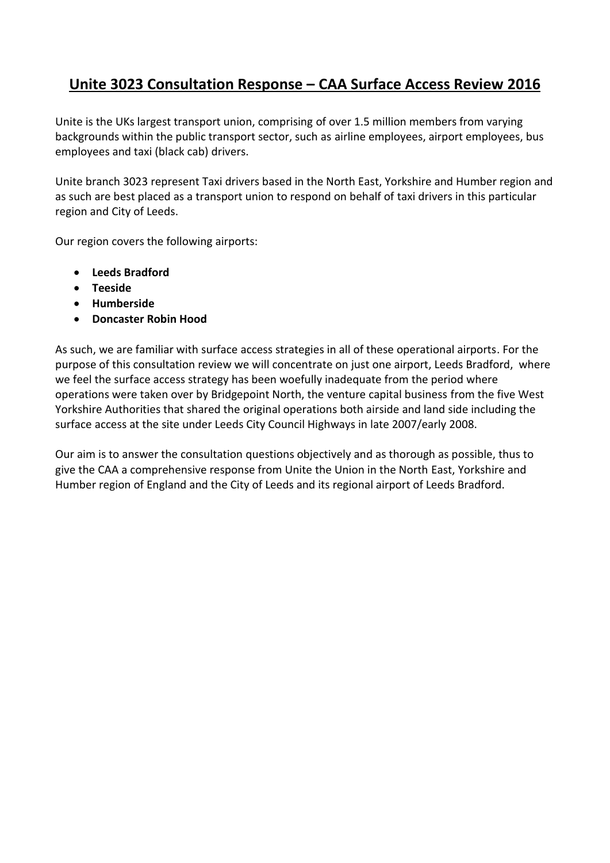# **Unite 3023 Consultation Response – CAA Surface Access Review 2016**

Unite is the UKs largest transport union, comprising of over 1.5 million members from varying backgrounds within the public transport sector, such as airline employees, airport employees, bus employees and taxi (black cab) drivers.

Unite branch 3023 represent Taxi drivers based in the North East, Yorkshire and Humber region and as such are best placed as a transport union to respond on behalf of taxi drivers in this particular region and City of Leeds.

Our region covers the following airports:

- **Leeds Bradford**
- **Teeside**
- **Humberside**
- **Doncaster Robin Hood**

As such, we are familiar with surface access strategies in all of these operational airports. For the purpose of this consultation review we will concentrate on just one airport, Leeds Bradford, where we feel the surface access strategy has been woefully inadequate from the period where operations were taken over by Bridgepoint North, the venture capital business from the five West Yorkshire Authorities that shared the original operations both airside and land side including the surface access at the site under Leeds City Council Highways in late 2007/early 2008.

Our aim is to answer the consultation questions objectively and as thorough as possible, thus to give the CAA a comprehensive response from Unite the Union in the North East, Yorkshire and Humber region of England and the City of Leeds and its regional airport of Leeds Bradford.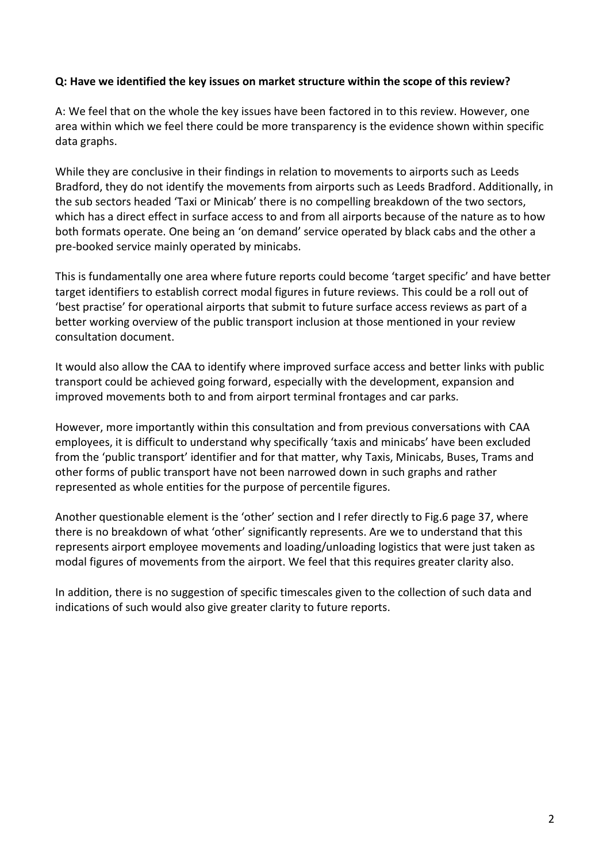#### **Q: Have we identified the key issues on market structure within the scope of this review?**

A: We feel that on the whole the key issues have been factored in to this review. However, one area within which we feel there could be more transparency is the evidence shown within specific data graphs.

While they are conclusive in their findings in relation to movements to airports such as Leeds Bradford, they do not identify the movements from airports such as Leeds Bradford. Additionally, in the sub sectors headed 'Taxi or Minicab' there is no compelling breakdown of the two sectors, which has a direct effect in surface access to and from all airports because of the nature as to how both formats operate. One being an 'on demand' service operated by black cabs and the other a pre-booked service mainly operated by minicabs.

This is fundamentally one area where future reports could become 'target specific' and have better target identifiers to establish correct modal figures in future reviews. This could be a roll out of 'best practise' for operational airports that submit to future surface access reviews as part of a better working overview of the public transport inclusion at those mentioned in your review consultation document.

It would also allow the CAA to identify where improved surface access and better links with public transport could be achieved going forward, especially with the development, expansion and improved movements both to and from airport terminal frontages and car parks.

However, more importantly within this consultation and from previous conversations with CAA employees, it is difficult to understand why specifically 'taxis and minicabs' have been excluded from the 'public transport' identifier and for that matter, why Taxis, Minicabs, Buses, Trams and other forms of public transport have not been narrowed down in such graphs and rather represented as whole entities for the purpose of percentile figures.

Another questionable element is the 'other' section and I refer directly to Fig.6 page 37, where there is no breakdown of what 'other' significantly represents. Are we to understand that this represents airport employee movements and loading/unloading logistics that were just taken as modal figures of movements from the airport. We feel that this requires greater clarity also.

In addition, there is no suggestion of specific timescales given to the collection of such data and indications of such would also give greater clarity to future reports.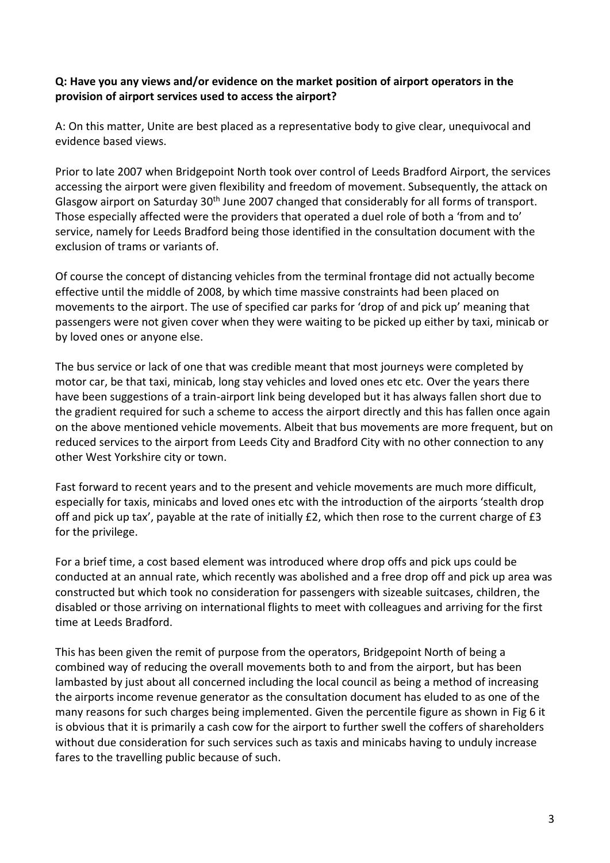## **Q: Have you any views and/or evidence on the market position of airport operators in the provision of airport services used to access the airport?**

A: On this matter, Unite are best placed as a representative body to give clear, unequivocal and evidence based views.

Prior to late 2007 when Bridgepoint North took over control of Leeds Bradford Airport, the services accessing the airport were given flexibility and freedom of movement. Subsequently, the attack on Glasgow airport on Saturday 30<sup>th</sup> June 2007 changed that considerably for all forms of transport. Those especially affected were the providers that operated a duel role of both a 'from and to' service, namely for Leeds Bradford being those identified in the consultation document with the exclusion of trams or variants of.

Of course the concept of distancing vehicles from the terminal frontage did not actually become effective until the middle of 2008, by which time massive constraints had been placed on movements to the airport. The use of specified car parks for 'drop of and pick up' meaning that passengers were not given cover when they were waiting to be picked up either by taxi, minicab or by loved ones or anyone else.

The bus service or lack of one that was credible meant that most journeys were completed by motor car, be that taxi, minicab, long stay vehicles and loved ones etc etc. Over the years there have been suggestions of a train-airport link being developed but it has always fallen short due to the gradient required for such a scheme to access the airport directly and this has fallen once again on the above mentioned vehicle movements. Albeit that bus movements are more frequent, but on reduced services to the airport from Leeds City and Bradford City with no other connection to any other West Yorkshire city or town.

Fast forward to recent years and to the present and vehicle movements are much more difficult, especially for taxis, minicabs and loved ones etc with the introduction of the airports 'stealth drop off and pick up tax', payable at the rate of initially £2, which then rose to the current charge of £3 for the privilege.

For a brief time, a cost based element was introduced where drop offs and pick ups could be conducted at an annual rate, which recently was abolished and a free drop off and pick up area was constructed but which took no consideration for passengers with sizeable suitcases, children, the disabled or those arriving on international flights to meet with colleagues and arriving for the first time at Leeds Bradford.

This has been given the remit of purpose from the operators, Bridgepoint North of being a combined way of reducing the overall movements both to and from the airport, but has been lambasted by just about all concerned including the local council as being a method of increasing the airports income revenue generator as the consultation document has eluded to as one of the many reasons for such charges being implemented. Given the percentile figure as shown in Fig 6 it is obvious that it is primarily a cash cow for the airport to further swell the coffers of shareholders without due consideration for such services such as taxis and minicabs having to unduly increase fares to the travelling public because of such.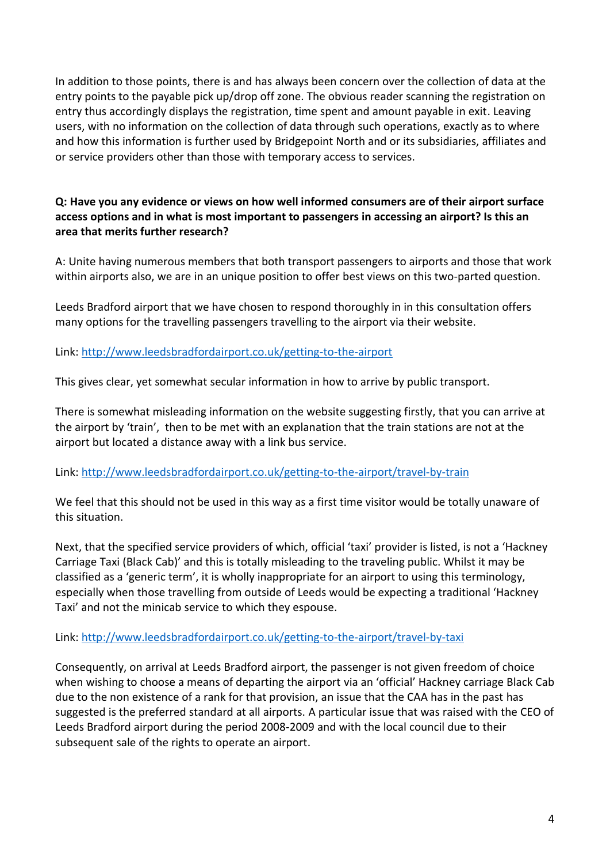In addition to those points, there is and has always been concern over the collection of data at the entry points to the payable pick up/drop off zone. The obvious reader scanning the registration on entry thus accordingly displays the registration, time spent and amount payable in exit. Leaving users, with no information on the collection of data through such operations, exactly as to where and how this information is further used by Bridgepoint North and or its subsidiaries, affiliates and or service providers other than those with temporary access to services.

# **Q: Have you any evidence or views on how well informed consumers are of their airport surface access options and in what is most important to passengers in accessing an airport? Is this an area that merits further research?**

A: Unite having numerous members that both transport passengers to airports and those that work within airports also, we are in an unique position to offer best views on this two-parted question.

Leeds Bradford airport that we have chosen to respond thoroughly in in this consultation offers many options for the travelling passengers travelling to the airport via their website.

Link:<http://www.leedsbradfordairport.co.uk/getting-to-the-airport>

This gives clear, yet somewhat secular information in how to arrive by public transport.

There is somewhat misleading information on the website suggesting firstly, that you can arrive at the airport by 'train', then to be met with an explanation that the train stations are not at the airport but located a distance away with a link bus service.

#### Link:<http://www.leedsbradfordairport.co.uk/getting-to-the-airport/travel-by-train>

We feel that this should not be used in this way as a first time visitor would be totally unaware of this situation.

Next, that the specified service providers of which, official 'taxi' provider is listed, is not a 'Hackney Carriage Taxi (Black Cab)' and this is totally misleading to the traveling public. Whilst it may be classified as a 'generic term', it is wholly inappropriate for an airport to using this terminology, especially when those travelling from outside of Leeds would be expecting a traditional 'Hackney Taxi' and not the minicab service to which they espouse.

#### Link:<http://www.leedsbradfordairport.co.uk/getting-to-the-airport/travel-by-taxi>

Consequently, on arrival at Leeds Bradford airport, the passenger is not given freedom of choice when wishing to choose a means of departing the airport via an 'official' Hackney carriage Black Cab due to the non existence of a rank for that provision, an issue that the CAA has in the past has suggested is the preferred standard at all airports. A particular issue that was raised with the CEO of Leeds Bradford airport during the period 2008-2009 and with the local council due to their subsequent sale of the rights to operate an airport.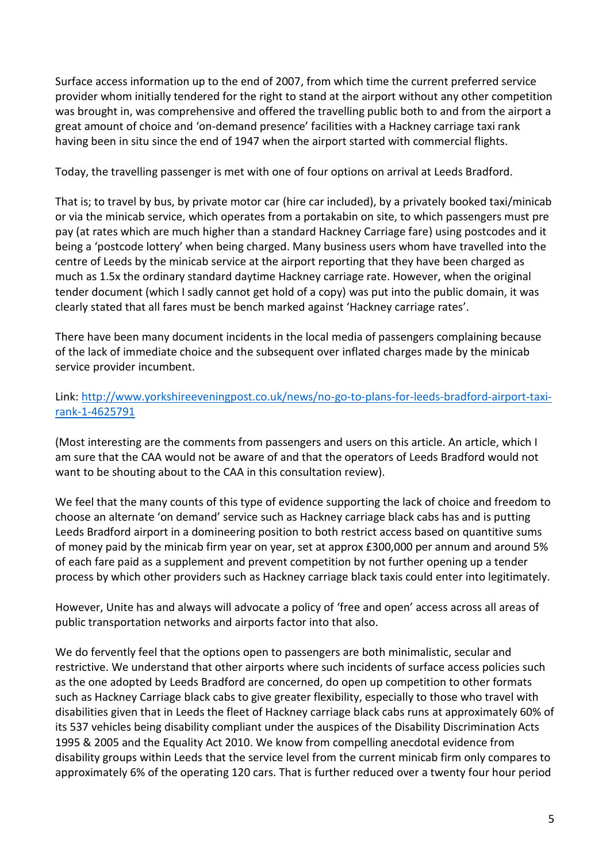Surface access information up to the end of 2007, from which time the current preferred service provider whom initially tendered for the right to stand at the airport without any other competition was brought in, was comprehensive and offered the travelling public both to and from the airport a great amount of choice and 'on-demand presence' facilities with a Hackney carriage taxi rank having been in situ since the end of 1947 when the airport started with commercial flights.

Today, the travelling passenger is met with one of four options on arrival at Leeds Bradford.

That is; to travel by bus, by private motor car (hire car included), by a privately booked taxi/minicab or via the minicab service, which operates from a portakabin on site, to which passengers must pre pay (at rates which are much higher than a standard Hackney Carriage fare) using postcodes and it being a 'postcode lottery' when being charged. Many business users whom have travelled into the centre of Leeds by the minicab service at the airport reporting that they have been charged as much as 1.5x the ordinary standard daytime Hackney carriage rate. However, when the original tender document (which I sadly cannot get hold of a copy) was put into the public domain, it was clearly stated that all fares must be bench marked against 'Hackney carriage rates'.

There have been many document incidents in the local media of passengers complaining because of the lack of immediate choice and the subsequent over inflated charges made by the minicab service provider incumbent.

# Link: [http://www.yorkshireeveningpost.co.uk/news/no-go-to-plans-for-leeds-bradford-airport-taxi](http://www.yorkshireeveningpost.co.uk/news/no-go-to-plans-for-leeds-bradford-airport-taxi-rank-1-4625791)[rank-1-4625791](http://www.yorkshireeveningpost.co.uk/news/no-go-to-plans-for-leeds-bradford-airport-taxi-rank-1-4625791)

(Most interesting are the comments from passengers and users on this article. An article, which I am sure that the CAA would not be aware of and that the operators of Leeds Bradford would not want to be shouting about to the CAA in this consultation review).

We feel that the many counts of this type of evidence supporting the lack of choice and freedom to choose an alternate 'on demand' service such as Hackney carriage black cabs has and is putting Leeds Bradford airport in a domineering position to both restrict access based on quantitive sums of money paid by the minicab firm year on year, set at approx £300,000 per annum and around 5% of each fare paid as a supplement and prevent competition by not further opening up a tender process by which other providers such as Hackney carriage black taxis could enter into legitimately.

However, Unite has and always will advocate a policy of 'free and open' access across all areas of public transportation networks and airports factor into that also.

We do fervently feel that the options open to passengers are both minimalistic, secular and restrictive. We understand that other airports where such incidents of surface access policies such as the one adopted by Leeds Bradford are concerned, do open up competition to other formats such as Hackney Carriage black cabs to give greater flexibility, especially to those who travel with disabilities given that in Leeds the fleet of Hackney carriage black cabs runs at approximately 60% of its 537 vehicles being disability compliant under the auspices of the Disability Discrimination Acts 1995 & 2005 and the Equality Act 2010. We know from compelling anecdotal evidence from disability groups within Leeds that the service level from the current minicab firm only compares to approximately 6% of the operating 120 cars. That is further reduced over a twenty four hour period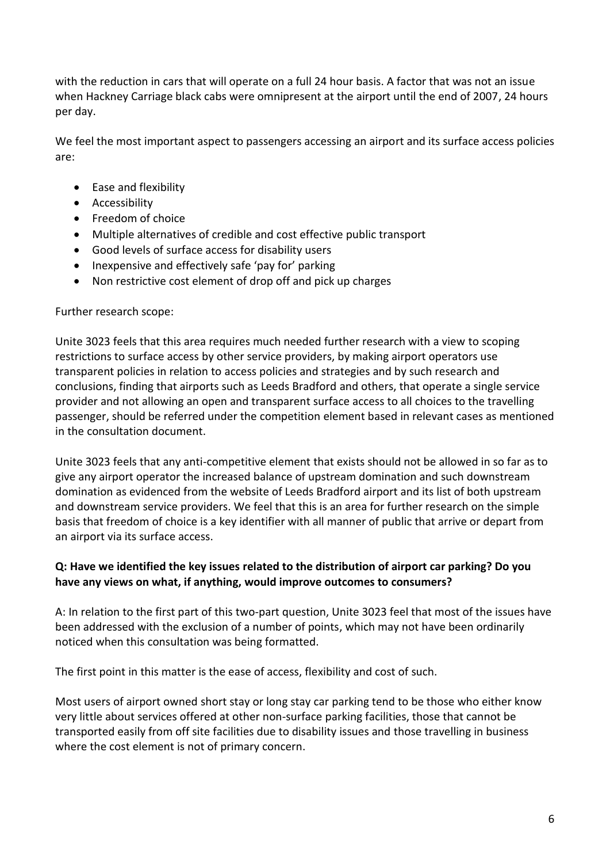with the reduction in cars that will operate on a full 24 hour basis. A factor that was not an issue when Hackney Carriage black cabs were omnipresent at the airport until the end of 2007, 24 hours per day.

We feel the most important aspect to passengers accessing an airport and its surface access policies are:

- Ease and flexibility
- **•** Accessibility
- Freedom of choice
- Multiple alternatives of credible and cost effective public transport
- Good levels of surface access for disability users
- Inexpensive and effectively safe 'pay for' parking
- Non restrictive cost element of drop off and pick up charges

#### Further research scope:

Unite 3023 feels that this area requires much needed further research with a view to scoping restrictions to surface access by other service providers, by making airport operators use transparent policies in relation to access policies and strategies and by such research and conclusions, finding that airports such as Leeds Bradford and others, that operate a single service provider and not allowing an open and transparent surface access to all choices to the travelling passenger, should be referred under the competition element based in relevant cases as mentioned in the consultation document.

Unite 3023 feels that any anti-competitive element that exists should not be allowed in so far as to give any airport operator the increased balance of upstream domination and such downstream domination as evidenced from the website of Leeds Bradford airport and its list of both upstream and downstream service providers. We feel that this is an area for further research on the simple basis that freedom of choice is a key identifier with all manner of public that arrive or depart from an airport via its surface access.

#### **Q: Have we identified the key issues related to the distribution of airport car parking? Do you have any views on what, if anything, would improve outcomes to consumers?**

A: In relation to the first part of this two-part question, Unite 3023 feel that most of the issues have been addressed with the exclusion of a number of points, which may not have been ordinarily noticed when this consultation was being formatted.

The first point in this matter is the ease of access, flexibility and cost of such.

Most users of airport owned short stay or long stay car parking tend to be those who either know very little about services offered at other non-surface parking facilities, those that cannot be transported easily from off site facilities due to disability issues and those travelling in business where the cost element is not of primary concern.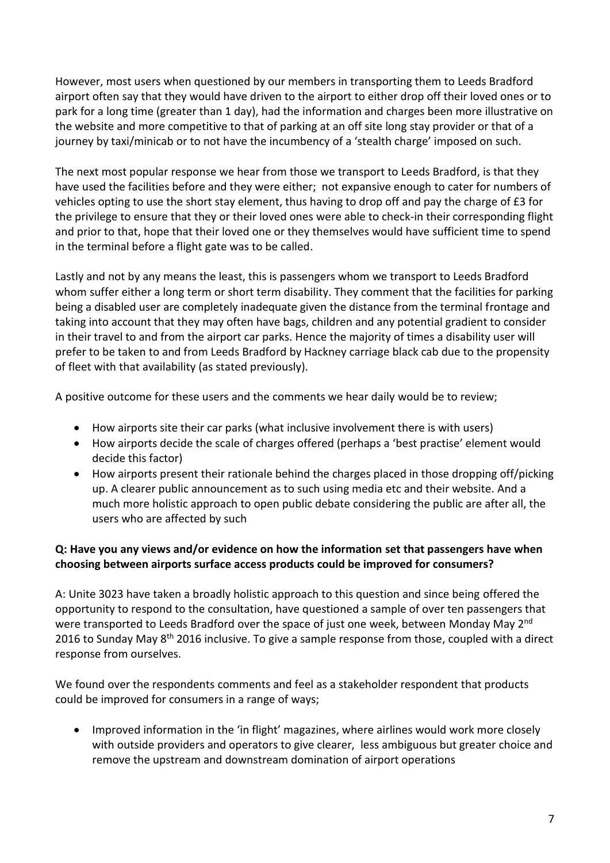However, most users when questioned by our members in transporting them to Leeds Bradford airport often say that they would have driven to the airport to either drop off their loved ones or to park for a long time (greater than 1 day), had the information and charges been more illustrative on the website and more competitive to that of parking at an off site long stay provider or that of a journey by taxi/minicab or to not have the incumbency of a 'stealth charge' imposed on such.

The next most popular response we hear from those we transport to Leeds Bradford, is that they have used the facilities before and they were either; not expansive enough to cater for numbers of vehicles opting to use the short stay element, thus having to drop off and pay the charge of £3 for the privilege to ensure that they or their loved ones were able to check-in their corresponding flight and prior to that, hope that their loved one or they themselves would have sufficient time to spend in the terminal before a flight gate was to be called.

Lastly and not by any means the least, this is passengers whom we transport to Leeds Bradford whom suffer either a long term or short term disability. They comment that the facilities for parking being a disabled user are completely inadequate given the distance from the terminal frontage and taking into account that they may often have bags, children and any potential gradient to consider in their travel to and from the airport car parks. Hence the majority of times a disability user will prefer to be taken to and from Leeds Bradford by Hackney carriage black cab due to the propensity of fleet with that availability (as stated previously).

A positive outcome for these users and the comments we hear daily would be to review;

- How airports site their car parks (what inclusive involvement there is with users)
- How airports decide the scale of charges offered (perhaps a 'best practise' element would decide this factor)
- How airports present their rationale behind the charges placed in those dropping off/picking up. A clearer public announcement as to such using media etc and their website. And a much more holistic approach to open public debate considering the public are after all, the users who are affected by such

# **Q: Have you any views and/or evidence on how the information set that passengers have when choosing between airports surface access products could be improved for consumers?**

A: Unite 3023 have taken a broadly holistic approach to this question and since being offered the opportunity to respond to the consultation, have questioned a sample of over ten passengers that were transported to Leeds Bradford over the space of just one week, between Monday May 2<sup>nd</sup> 2016 to Sunday May  $8<sup>th</sup>$  2016 inclusive. To give a sample response from those, coupled with a direct response from ourselves.

We found over the respondents comments and feel as a stakeholder respondent that products could be improved for consumers in a range of ways;

• Improved information in the 'in flight' magazines, where airlines would work more closely with outside providers and operators to give clearer, less ambiguous but greater choice and remove the upstream and downstream domination of airport operations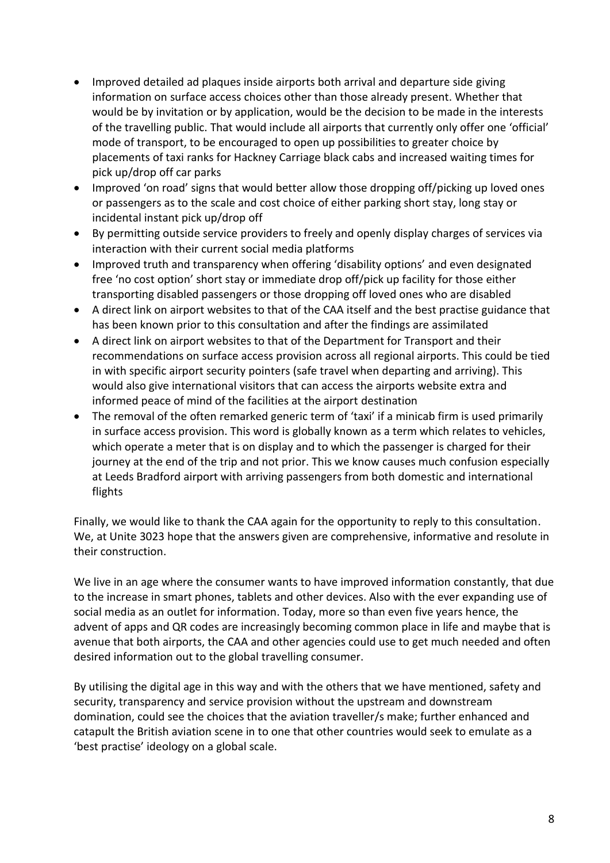- Improved detailed ad plaques inside airports both arrival and departure side giving information on surface access choices other than those already present. Whether that would be by invitation or by application, would be the decision to be made in the interests of the travelling public. That would include all airports that currently only offer one 'official' mode of transport, to be encouraged to open up possibilities to greater choice by placements of taxi ranks for Hackney Carriage black cabs and increased waiting times for pick up/drop off car parks
- Improved 'on road' signs that would better allow those dropping off/picking up loved ones or passengers as to the scale and cost choice of either parking short stay, long stay or incidental instant pick up/drop off
- By permitting outside service providers to freely and openly display charges of services via interaction with their current social media platforms
- Improved truth and transparency when offering 'disability options' and even designated free 'no cost option' short stay or immediate drop off/pick up facility for those either transporting disabled passengers or those dropping off loved ones who are disabled
- A direct link on airport websites to that of the CAA itself and the best practise guidance that has been known prior to this consultation and after the findings are assimilated
- A direct link on airport websites to that of the Department for Transport and their recommendations on surface access provision across all regional airports. This could be tied in with specific airport security pointers (safe travel when departing and arriving). This would also give international visitors that can access the airports website extra and informed peace of mind of the facilities at the airport destination
- The removal of the often remarked generic term of 'taxi' if a minicab firm is used primarily in surface access provision. This word is globally known as a term which relates to vehicles, which operate a meter that is on display and to which the passenger is charged for their journey at the end of the trip and not prior. This we know causes much confusion especially at Leeds Bradford airport with arriving passengers from both domestic and international flights

Finally, we would like to thank the CAA again for the opportunity to reply to this consultation. We, at Unite 3023 hope that the answers given are comprehensive, informative and resolute in their construction.

We live in an age where the consumer wants to have improved information constantly, that due to the increase in smart phones, tablets and other devices. Also with the ever expanding use of social media as an outlet for information. Today, more so than even five years hence, the advent of apps and QR codes are increasingly becoming common place in life and maybe that is avenue that both airports, the CAA and other agencies could use to get much needed and often desired information out to the global travelling consumer.

By utilising the digital age in this way and with the others that we have mentioned, safety and security, transparency and service provision without the upstream and downstream domination, could see the choices that the aviation traveller/s make; further enhanced and catapult the British aviation scene in to one that other countries would seek to emulate as a 'best practise' ideology on a global scale.